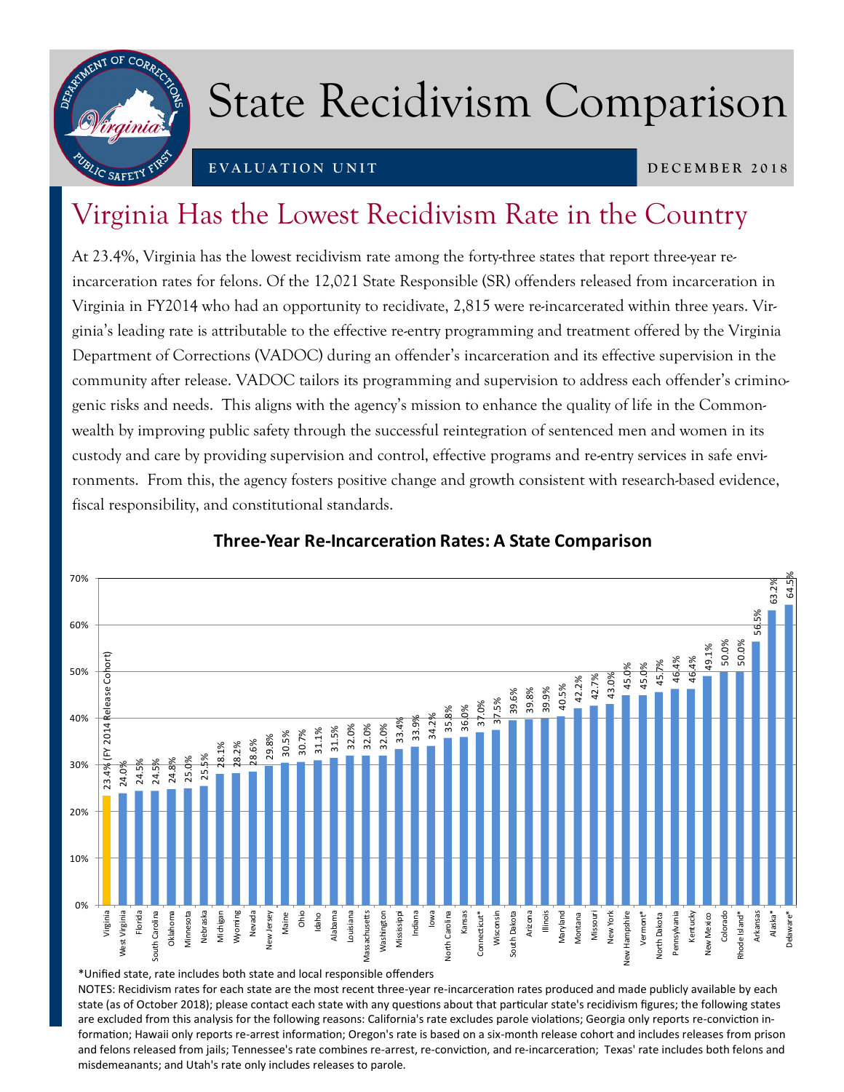

## State Recidivism Comparison

## **E V A L U A T I O N U N I T**

#### **D E C E M B E R 2 0 1 8**

## Virginia Has the Lowest Recidivism Rate in the Country

At 23.4%, Virginia has the lowest recidivism rate among the forty-three states that report three-year reincarceration rates for felons. Of the 12,021 State Responsible (SR) offenders released from incarceration in Virginia in FY2014 who had an opportunity to recidivate, 2,815 were re-incarcerated within three years. Virginia's leading rate is attributable to the effective re-entry programming and treatment offered by the Virginia Department of Corrections (VADOC) during an offender's incarceration and its effective supervision in the community after release. VADOC tailors its programming and supervision to address each offender's criminogenic risks and needs. This aligns with the agency's mission to enhance the quality of life in the Commonwealth by improving public safety through the successful reintegration of sentenced men and women in its custody and care by providing supervision and control, effective programs and re-entry services in safe environments. From this, the agency fosters positive change and growth consistent with research-based evidence, fiscal responsibility, and constitutional standards.



### **Three-Year Re-Incarceration Rates: A State Comparison**

\*Unified state, rate includes both state and local responsible offenders

NOTES: Recidivism rates for each state are the most recent three-year re-incarceration rates produced and made publicly available by each state (as of October 2018); please contact each state with any questions about that particular state's recidivism figures; the following states are excluded from this analysis for the following reasons: California's rate excludes parole violations; Georgia only reports re-conviction information; Hawaii only reports re-arrest information; Oregon's rate is based on a six-month release cohort and includes releases from prison and felons released from jails; Tennessee's rate combines re-arrest, re-conviction, and re-incarceration; Texas' rate includes both felons and misdemeanants; and Utah's rate only includes releases to parole.